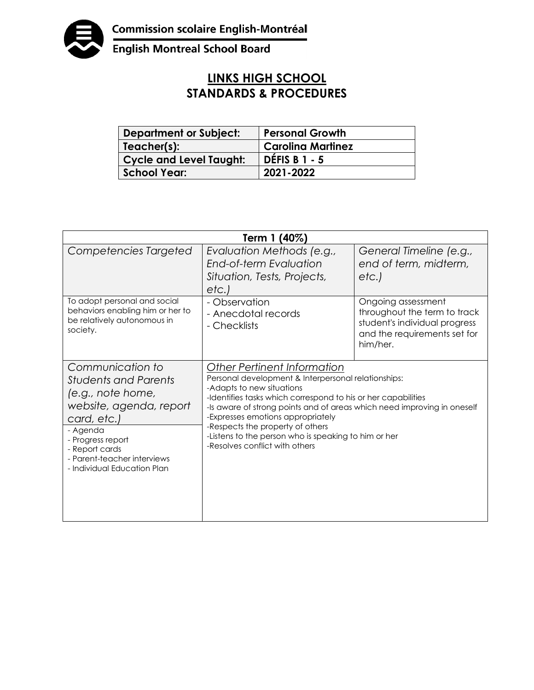

English Montreal School Board

## **LINKS HIGH SCHOOL STANDARDS & PROCEDURES**

| <b>Department or Subject:</b>  | <b>Personal Growth</b>   |
|--------------------------------|--------------------------|
| Teacher(s):                    | <b>Carolina Martinez</b> |
| <b>Cycle and Level Taught:</b> | <b>DÉFIS B 1 - 5</b>     |
| <b>School Year:</b>            | 2021-2022                |

| Term 1 (40%)                                                                                                                                                                                                                    |                                                                                                                                                                                                                                                                                                                                                                                                                                |                                                                                                                                 |  |  |
|---------------------------------------------------------------------------------------------------------------------------------------------------------------------------------------------------------------------------------|--------------------------------------------------------------------------------------------------------------------------------------------------------------------------------------------------------------------------------------------------------------------------------------------------------------------------------------------------------------------------------------------------------------------------------|---------------------------------------------------------------------------------------------------------------------------------|--|--|
| Competencies Targeted                                                                                                                                                                                                           | Evaluation Methods (e.g.,<br>End-of-term Evaluation<br>Situation, Tests, Projects,<br>etc.)                                                                                                                                                                                                                                                                                                                                    | General Timeline (e.g.,<br>end of term, midterm,<br>etc.                                                                        |  |  |
| To adopt personal and social<br>behaviors enabling him or her to<br>be relatively autonomous in<br>society.                                                                                                                     | - Observation<br>- Anecdotal records<br>- Checklists                                                                                                                                                                                                                                                                                                                                                                           | Ongoing assessment<br>throughout the term to track<br>student's individual progress<br>and the requirements set for<br>him/her. |  |  |
| Communication to<br><b>Students and Parents</b><br>(e.g., note home,<br>website, agenda, report<br>card, etc.)<br>- Agenda<br>- Progress report<br>- Report cards<br>- Parent-teacher interviews<br>- Individual Education Plan | Other Pertinent Information<br>Personal development & Interpersonal relationships:<br>-Adapts to new situations<br>-Identifies tasks which correspond to his or her capabilities<br>-Is aware of strong points and of areas which need improving in oneself<br>-Expresses emotions appropriately<br>-Respects the property of others<br>-Listens to the person who is speaking to him or her<br>-Resolves conflict with others |                                                                                                                                 |  |  |